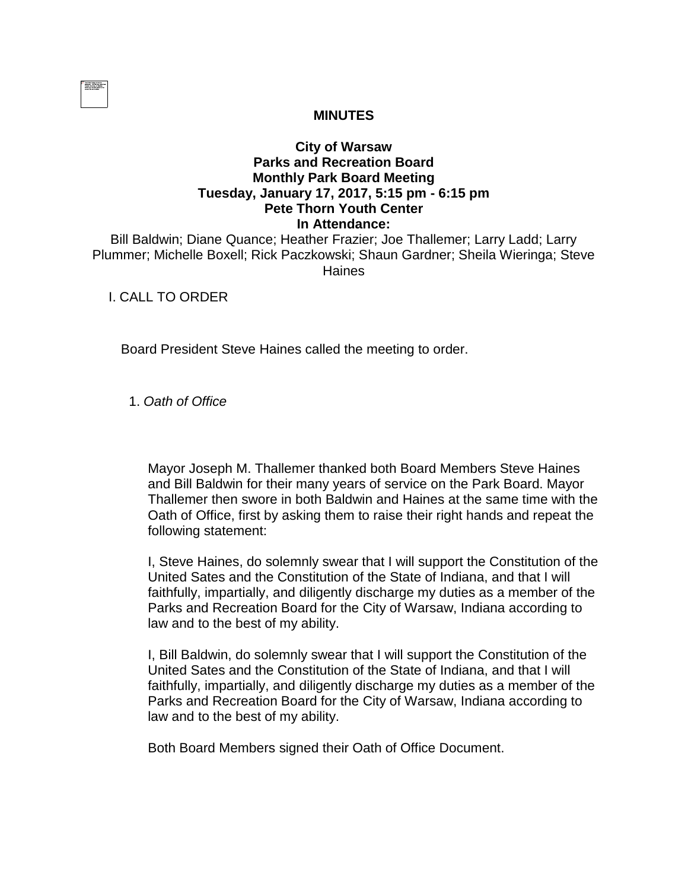|  |  | . |  |
|--|--|---|--|
|  |  |   |  |
|  |  |   |  |
|  |  |   |  |
|  |  |   |  |
|  |  |   |  |
|  |  |   |  |

## **MINUTES**

## **City of Warsaw Parks and Recreation Board Monthly Park Board Meeting Tuesday, January 17, 2017, 5:15 pm - 6:15 pm Pete Thorn Youth Center In Attendance:**

Bill Baldwin; Diane Quance; Heather Frazier; Joe Thallemer; Larry Ladd; Larry Plummer; Michelle Boxell; Rick Paczkowski; Shaun Gardner; Sheila Wieringa; Steve Haines

## I. CALL TO ORDER

Board President Steve Haines called the meeting to order.

1. *Oath of Office*

Mayor Joseph M. Thallemer thanked both Board Members Steve Haines and Bill Baldwin for their many years of service on the Park Board. Mayor Thallemer then swore in both Baldwin and Haines at the same time with the Oath of Office, first by asking them to raise their right hands and repeat the following statement:

I, Steve Haines, do solemnly swear that I will support the Constitution of the United Sates and the Constitution of the State of Indiana, and that I will faithfully, impartially, and diligently discharge my duties as a member of the Parks and Recreation Board for the City of Warsaw, Indiana according to law and to the best of my ability.

I, Bill Baldwin, do solemnly swear that I will support the Constitution of the United Sates and the Constitution of the State of Indiana, and that I will faithfully, impartially, and diligently discharge my duties as a member of the Parks and Recreation Board for the City of Warsaw, Indiana according to law and to the best of my ability.

Both Board Members signed their Oath of Office Document.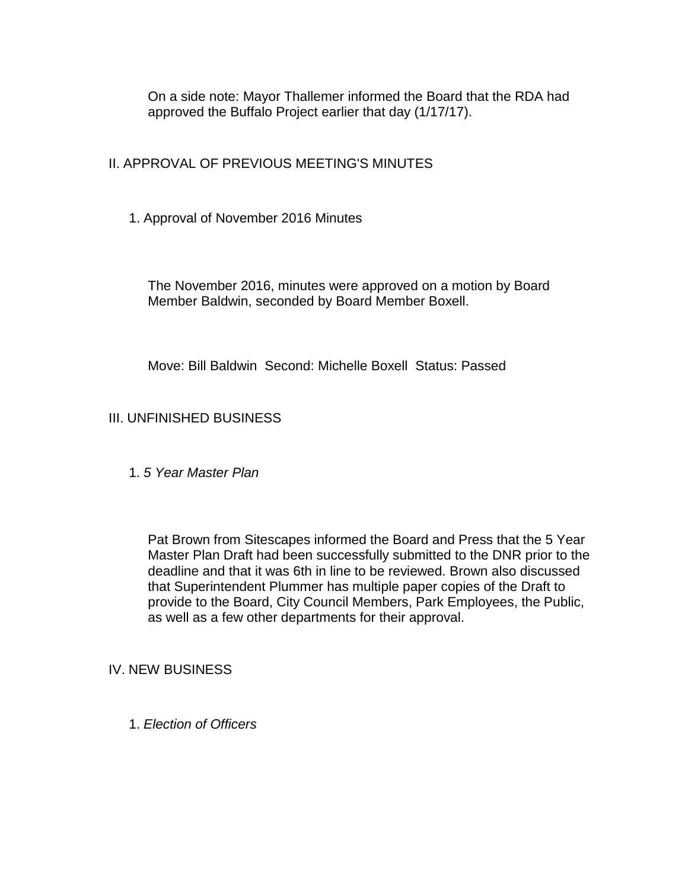On a side note: Mayor Thallemer informed the Board that the RDA had approved the Buffalo Project earlier that day (1/17/17).

II. APPROVAL OF PREVIOUS MEETING'S MINUTES

1. Approval of November 2016 Minutes

The November 2016, minutes were approved on a motion by Board Member Baldwin, seconded by Board Member Boxell.

Move: Bill Baldwin Second: Michelle Boxell Status: Passed

# III. UNFINISHED BUSINESS

1. *5 Year Master Plan*

Pat Brown from Sitescapes informed the Board and Press that the 5 Year Master Plan Draft had been successfully submitted to the DNR prior to the deadline and that it was 6th in line to be reviewed. Brown also discussed that Superintendent Plummer has multiple paper copies of the Draft to provide to the Board, City Council Members, Park Employees, the Public, as well as a few other departments for their approval.

## IV. NEW BUSINESS

1. *Election of Officers*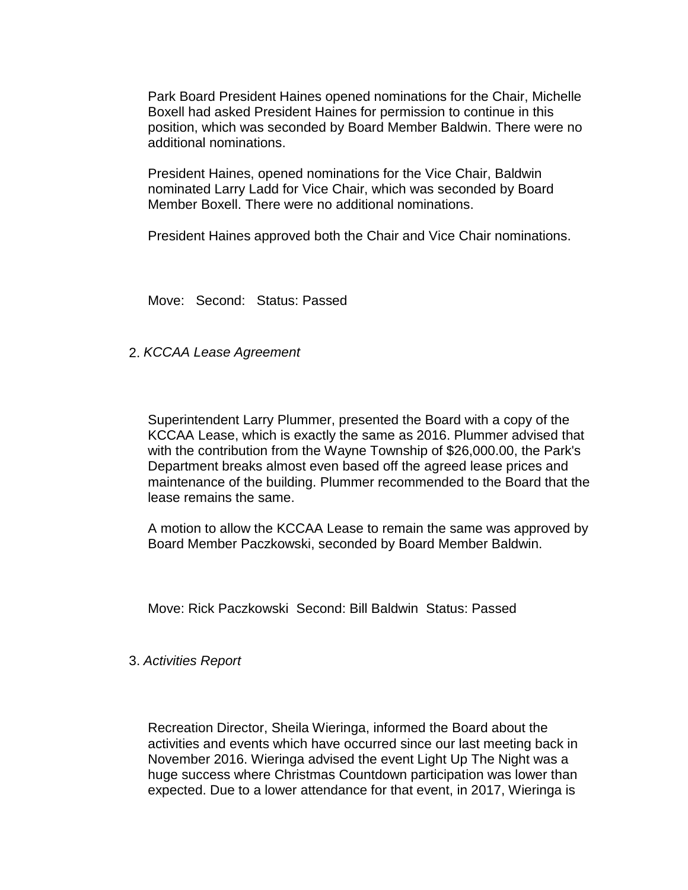Park Board President Haines opened nominations for the Chair, Michelle Boxell had asked President Haines for permission to continue in this position, which was seconded by Board Member Baldwin. There were no additional nominations.

President Haines, opened nominations for the Vice Chair, Baldwin nominated Larry Ladd for Vice Chair, which was seconded by Board Member Boxell. There were no additional nominations.

President Haines approved both the Chair and Vice Chair nominations.

Move: Second: Status: Passed

2. *KCCAA Lease Agreement*

Superintendent Larry Plummer, presented the Board with a copy of the KCCAA Lease, which is exactly the same as 2016. Plummer advised that with the contribution from the Wayne Township of \$26,000.00, the Park's Department breaks almost even based off the agreed lease prices and maintenance of the building. Plummer recommended to the Board that the lease remains the same.

A motion to allow the KCCAA Lease to remain the same was approved by Board Member Paczkowski, seconded by Board Member Baldwin.

Move: Rick Paczkowski Second: Bill Baldwin Status: Passed

#### 3. *Activities Report*

Recreation Director, Sheila Wieringa, informed the Board about the activities and events which have occurred since our last meeting back in November 2016. Wieringa advised the event Light Up The Night was a huge success where Christmas Countdown participation was lower than expected. Due to a lower attendance for that event, in 2017, Wieringa is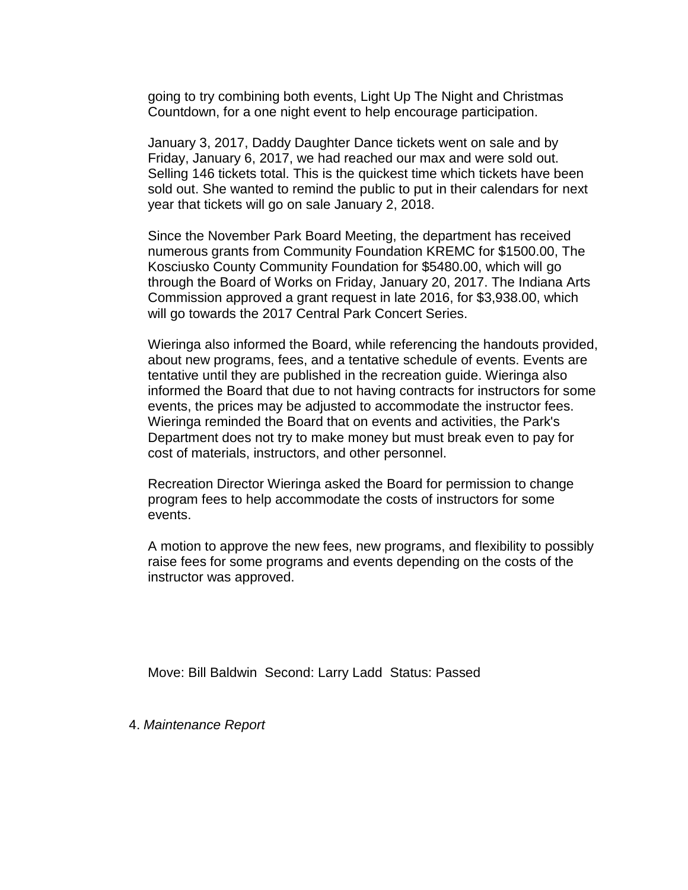going to try combining both events, Light Up The Night and Christmas Countdown, for a one night event to help encourage participation.

January 3, 2017, Daddy Daughter Dance tickets went on sale and by Friday, January 6, 2017, we had reached our max and were sold out. Selling 146 tickets total. This is the quickest time which tickets have been sold out. She wanted to remind the public to put in their calendars for next year that tickets will go on sale January 2, 2018.

Since the November Park Board Meeting, the department has received numerous grants from Community Foundation KREMC for \$1500.00, The Kosciusko County Community Foundation for \$5480.00, which will go through the Board of Works on Friday, January 20, 2017. The Indiana Arts Commission approved a grant request in late 2016, for \$3,938.00, which will go towards the 2017 Central Park Concert Series.

Wieringa also informed the Board, while referencing the handouts provided, about new programs, fees, and a tentative schedule of events. Events are tentative until they are published in the recreation guide. Wieringa also informed the Board that due to not having contracts for instructors for some events, the prices may be adjusted to accommodate the instructor fees. Wieringa reminded the Board that on events and activities, the Park's Department does not try to make money but must break even to pay for cost of materials, instructors, and other personnel.

Recreation Director Wieringa asked the Board for permission to change program fees to help accommodate the costs of instructors for some events.

A motion to approve the new fees, new programs, and flexibility to possibly raise fees for some programs and events depending on the costs of the instructor was approved.

Move: Bill Baldwin Second: Larry Ladd Status: Passed

4. *Maintenance Report*